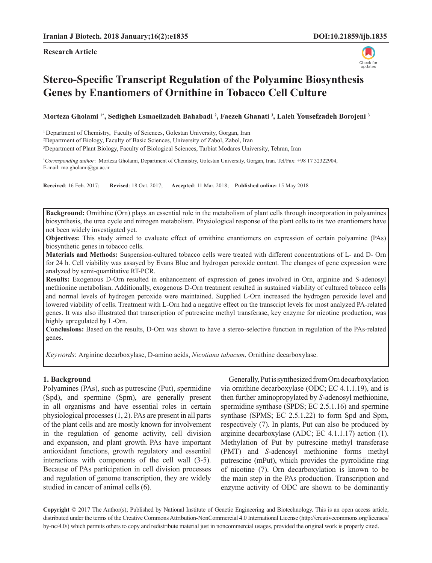#### **Research Article**



# **Stereo-Specific Transcript Regulation of the Polyamine Biosynthesis Genes by Enantiomers of Ornithine in Tobacco Cell Culture**

**Morteza Gholami 1\*, Sedigheh Esmaeilzadeh Bahabadi <sup>2</sup> , Faezeh Ghanati 3 , Laleh Yousefzadeh Borojeni 3**

<sup>1</sup> Department of Chemistry, Faculty of Sciences, Golestan University, Gorgan, Iran

2 Department of Biology, Faculty of Basic Sciences, University of Zabol, Zabol, Iran

3 Department of Plant Biology, Faculty of Biological Sciences, Tarbiat Modares University, Tehran, Iran

**\*** *Corresponding author*: Morteza Gholami, Department of Chemistry, Golestan University, Gorgan, Iran. Tel/Fax: +98 17 32322904, E-mail: mo.gholami@gu.ac.ir

**Received**: 16 Feb. 2017; **Revised**: 18 Oct. 2017; **Accepted**: 11 Mar. 2018; **Published online:** 15 May 2018

**Background:** Ornithine (Orn) plays an essential role in the metabolism of plant cells through incorporation in polyamines biosynthesis, the urea cycle and nitrogen metabolism. Physiological response of the plant cells to its two enantiomers have not been widely investigated yet.

**Objectives:** This study aimed to evaluate effect of ornithine enantiomers on expression of certain polyamine (PAs) biosynthetic genes in tobacco cells.

**Materials and Methods:** Suspension-cultured tobacco cells were treated with different concentrations of L- and D- Orn for 24 h. Cell viability was assayed by Evans Blue and hydrogen peroxide content. The changes of gene expression were analyzed by semi-quantitative RT-PCR.

**Results:** Exogenous D-Orn resulted in enhancement of expression of genes involved in Orn, arginine and S-adenosyl methionine metabolism. Additionally, exogenous D-Orn treatment resulted in sustained viability of cultured tobacco cells and normal levels of hydrogen peroxide were maintained. Supplied L-Orn increased the hydrogen peroxide level and lowered viability of cells. Treatment with L-Orn had a negative effect on the transcript levels for most analyzed PA-related genes. It was also illustrated that transcription of putrescine methyl transferase, key enzyme for nicotine production, was highly upregulated by L-Orn.

**Conclusions:** Based on the results, D-Orn was shown to have a stereo-selective function in regulation of the PAs-related genes.

*Keywords*: Arginine decarboxylase, D-amino acids, *Nicotiana tabacum*, Ornithine decarboxylase.

#### **1. Background**

Polyamines (PAs), such as putrescine (Put), spermidine (Spd), and spermine (Spm), are generally present in all organisms and have essential roles in certain physiological processes (1, 2). PAs are present in all parts of the plant cells and are mostly known for involvement in the regulation of genome activity, cell division and expansion, and plant growth. PAs have important antioxidant functions, growth regulatory and essential interactions with components of the cell wall (3-5). Because of PAs participation in cell division processes and regulation of genome transcription, they are widely studied in cancer of animal cells (6).

Generally, Put is synthesized from Orn decarboxylation via ornithine decarboxylase (ODC; EC 4.1.1.19), and is then further aminopropylated by *S*-adenosyl methionine, spermidine synthase (SPDS; EC 2.5.1.16) and spermine synthase (SPMS; EC 2.5.1.22) to form Spd and Spm, respectively (7). In plants, Put can also be produced by arginine decarboxylase (ADC; EC 4.1.1.17) action (1). Methylation of Put by putrescine methyl transferase (PMT) and *S*-adenosyl methionine forms methyl putrescine (mPut), which provides the pyrrolidine ring of nicotine (7). Orn decarboxylation is known to be the main step in the PAs production. Transcription and enzyme activity of ODC are shown to be dominantly

**Copyright** © 2017 The Author(s); Published by National Institute of Genetic Engineering and Biotechnology. This is an open access article, distributed under the terms of the Creative Commons Attribution-NonCommercial 4.0 International License (http://creativecommons.org/licenses/ by-nc/4.0/) which permits others to copy and redistribute material just in noncommercial usages, provided the original work is properly cited.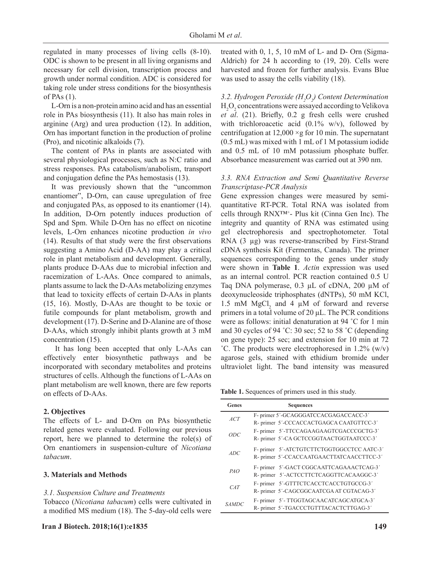regulated in many processes of living cells (8-10). ODC is shown to be present in all living organisms and necessary for cell division, transcription process and growth under normal condition. ADC is considered for taking role under stress conditions for the biosynthesis of PAs (1).

L-Orn is a non-protein amino acid and has an essential role in PAs biosynthesis (11). It also has main roles in arginine (Arg) and urea production (12). In addition, Orn has important function in the production of proline (Pro), and nicotinic alkaloids (7).

The content of PAs in plants are associated with several physiological processes, such as N:C ratio and stress responses. PAs catabolism/anabolism, transport and conjugation define the PAs hemostasis (13).

It was previously shown that the "uncommon enantiomer", D-Orn, can cause upregulation of free and conjugated PAs, as opposed to its enantiomer (14). In addition, D-Orn potently induces production of Spd and Spm. While D-Orn has no effect on nicotine levels, L-Orn enhances nicotine production *in vivo* (14). Results of that study were the first observations suggesting a Amino Acid (D-AA) may play a critical role in plant metabolism and development. Generally, plants produce D-AAs due to microbial infection and racemization of L-AAs. Once compared to animals, plants assume to lack the D-AAs metabolizing enzymes that lead to toxicity effects of certain D-AAs in plants (15, 16). Mostly, D-AAs are thought to be toxic or futile compounds for plant metabolism, growth and development (17). D-Serine and D-Alanine are of those D-AAs, which strongly inhibit plants growth at 3 mM concentration (15).

 It has long been accepted that only L-AAs can effectively enter biosynthetic pathways and be incorporated with secondary metabolites and proteins structures of cells. Although the functions of L-AAs on plant metabolism are well known, there are few reports on effects of D-AAs.

## **2. Objectives**

The effects of L- and D-Orn on PAs biosynthetic related genes were evaluated. Following our previous report, here we planned to determine the role(s) of Orn enantiomers in suspension-culture of *Nicotiana tabacum*.

#### **3. Materials and Methods**

## *3.1. Suspension Culture and Treatments*

Tobacco (*Nicotiana tabacum*) cells were cultivated in a modified MS medium (18). The 5-day-old cells were treated with 0, 1, 5, 10 mM of L- and D- Orn (Sigma-Aldrich) for 24 h according to (19, 20). Cells were harvested and frozen for further analysis. Evans Blue was used to assay the cells viability (18).

*3.2. Hydrogen Peroxide (H2 O2 ) Content Determination*  $H_2O_2$  concentrations were assayed according to Velikova *et al*. (21). Briefly, 0.2 g fresh cells were crushed with trichloroacetic acid  $(0.1\% \text{ w/v})$ , followed by centrifugation at  $12,000 \times g$  for 10 min. The supernatant (0.5 mL) was mixed with 1 mL of 1 M potassium iodide and 0.5 mL of 10 mM potassium phosphate buffer. Absorbance measurement was carried out at 390 nm.

# *3.3. RNA Extraction and Semi Quantitative Reverse Transcriptase-PCR Analysis*

Gene expression changes were measured by semiquantitative RT-PCR. Total RNA was isolated from cells through RNX™+ - Plus kit (Cinna Gen Inc). The integrity and quantity of RNA was estimated using gel electrophoresis and spectrophotometer. Total RNA (3 µg) was reverse-transcribed by First-Strand cDNA synthesis Kit (Fermentas, Canada). The primer sequences corresponding to the genes under study were shown in **Table 1**. *Actin* expression was used as an internal control. PCR reaction contained 0.5 U Taq DNA polymerase, 0.3 µL of cDNA, 200 µM of deoxynucleoside triphosphates (dNTPs), 50 mM KCl, 1.5 mM  $MgCl<sub>2</sub>$  and 4  $\mu$ M of forward and reverse primers in a total volume of 20 μL. The PCR conditions were as follows: initial denaturation at 94 ˚C for 1 min and 30 cycles of 94 ˚C: 30 sec; 52 to 58 ˚C (depending on gene type): 25 sec; and extension for 10 min at 72  $^{\circ}$ C. The products were electrophoresed in 1.2% (w/v) agarose gels, stained with ethidium bromide under ultraviolet light. The band intensity was measured

**Table 1.** Sequences of primers used in this study.

| Genes        | <b>Sequences</b>                           |
|--------------|--------------------------------------------|
| ACT          | F-primer 5'-GCAGGGATCCACGAGACCACC-3'       |
|              | R- primer 5'-CCCACCACTGAGCA CAATGTTCC-3'   |
| ODC          | F-primer 5'-TTCCAGAAGAAGTCGACCCGCTG-3'     |
|              | R- primer 5'-CA GCTCCGGTAACTGGTAATCCC-3'   |
| ADC          | F- primer 5'-ATCTGTCTTCTGGTGGCCTCC AATC-3' |
|              | R- primer 5'-CCACCAATGAACTTATCAACCTTCC-3'  |
| PAO          | F-primer 5'-GACT CGGCAATTCAGAAACTCAG-3'    |
|              | R- primer 5'-ACTCCTTCTCAGGTTCACAAGGC-3'    |
| CAT          | F-primer 5'-GTTTCTCACCTCACCTGTGCCG-3'      |
|              | R- primer 5'-CAGCGGCAATCGA AT CGTACAG-3'   |
| <i>SAMDC</i> | F-primer 5'-TTGGTAGCAACATCAGCATGCA-3'      |
|              | R- primer 5'-TGACCCTGTTTACACTCTTGAG-3'     |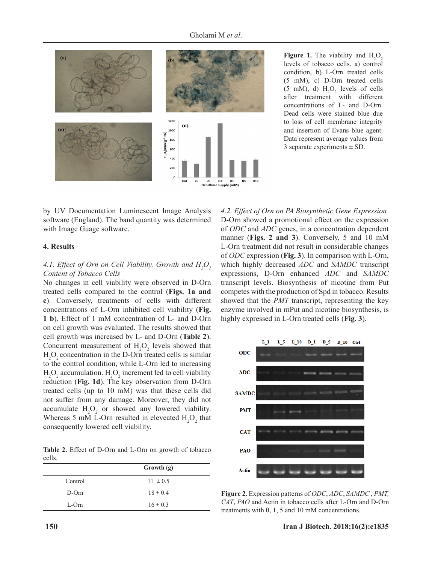

**Figure 1.** The viability and  $H_2O_2$ levels of tobacco cells. a) control condition, b) L-Orn treated cells (5 mM), c) D-Orn treated cells  $(5 \text{ mM})$ , d)  $H_2O_2$  levels of cells after treatment with different concentrations of L- and D-Orn. Dead cells were stained blue due to loss of cell membrane integrity and insertion of Evans blue agent. Data represent average values from 3 separate experiments  $\pm$  SD.

by UV Documentation Luminescent Image Analysis software (England). The band quantity was determined with Image Guage software.

## **4. Results**

# 4.1. *Effect of Orn on Cell Viability, Growth and*  $H_2O_2$ *Content of Tobacco Cells*

No changes in cell viability were observed in D-Orn treated cells compared to the control (**Figs. 1a and c**). Conversely, treatments of cells with different concentrations of L-Orn inhibited cell viability (**Fig. 1 b**). Effect of 1 mM concentration of L- and D-Orn on cell growth was evaluated. The results showed that cell growth was increased by L- and D-Orn (**Table 2**). Concurrent measurement of  $H_2O_2$  levels showed that  $H_2O_2$  concentration in the D-Orn treated cells is similar to the control condition, while L-Orn led to increasing  $H_2O_2$  accumulation.  $H_2O_2$  increment led to cell viability reduction (**Fig. 1d**). The key observation from D-Orn treated cells (up to 10 mM) was that these cells did not suffer from any damage. Moreover, they did not accumulate  $H_2O_2$  or showed any lowered viability. Whereas 5 mM L-Orn resulted in eleveated  $H_2O_2$  that consequently lowered cell viability.

**Table 2.** Effect of D-Orn and L-Orn on growth of tobacco cells.

|          | Growth (g)   |
|----------|--------------|
| Control  | $11 \pm 0.5$ |
| $D$ -Orn | $18 \pm 0.4$ |
| $L$ -Orn | $16 \pm 0.3$ |

*4.2. Effect of Orn on PA Biosynthetic Gene Expression* D-Orn showed a promotional effect on the expression of *ODC* and *ADC* genes, in a concentration dependent manner (**Figs. 2 and 3**). Conversely, 5 and 10 mM L-Orn treatment did not result in considerable changes of *ODC* expression (**Fig. 3**). In comparison with L-Orn, which highly decreased *ADC* and *SAMDC* transcript expressions, D-Orn enhanced *ADC* and *SAMDC* transcript levels. Biosynthesis of nicotine from Put competes with the production of Spd in tobacco. Results showed that the *PMT* transcript, representing the key enzyme involved in mPut and nicotine biosynthesis, is highly expressed in L-Orn treated cells (**Fig. 3**).



**Figure 2.** Expression patterns of *ODC*, *ADC*, *SAMDC* , *PMT, CAT*, *PAO* and Actin in tobacco cells after L-Orn and D-Orn treatments with 0, 1, 5 and 10 mM concentrations.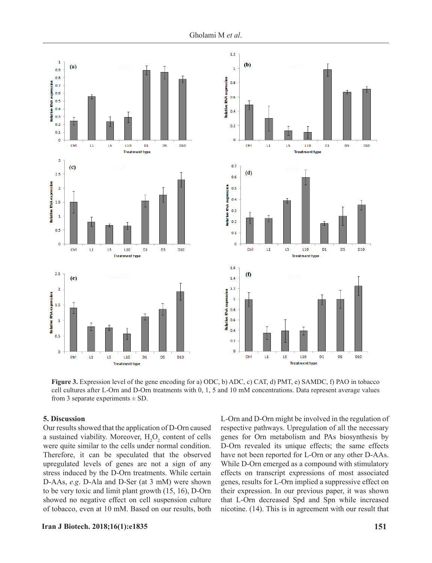

**Figure 3.** Expression level of the gene encoding for a) ODC, b) ADC, c) CAT, d) PMT, e) SAMDC, f) PAO in tobacco cell cultures after L-Orn and D-Orn treatments with 0, 1, 5 and 10 mM concentrations. Data represent average values from 3 separate experiments  $\pm$  SD.

### **5. Discussion**

Our results showed that the application of D-Orn caused a sustained viability. Moreover,  $H_2O_2$  content of cells were quite similar to the cells under normal condition. Therefore, it can be speculated that the observed upregulated levels of genes are not a sign of any stress induced by the D-Orn treatments. While certain D-AAs, *e.g*. D-Ala and D-Ser (at 3 mM) were shown to be very toxic and limit plant growth (15, 16), D-Orn showed no negative effect on cell suspension culture of tobacco, even at 10 mM. Based on our results, both

L-Orn and D-Orn might be involved in the regulation of respective pathways. Upregulation of all the necessary genes for Orn metabolism and PAs biosynthesis by D-Orn revealed its unique effects; the same effects have not been reported for L-Orn or any other D-AAs. While D-Orn emerged as a compound with stimulatory effects on transcript expressions of most associated genes, results for L-Orn implied a suppressive effect on their expression. In our previous paper, it was shown that L-Orn decreased Spd and Spn while increased nicotine. (14). This is in agreement with our result that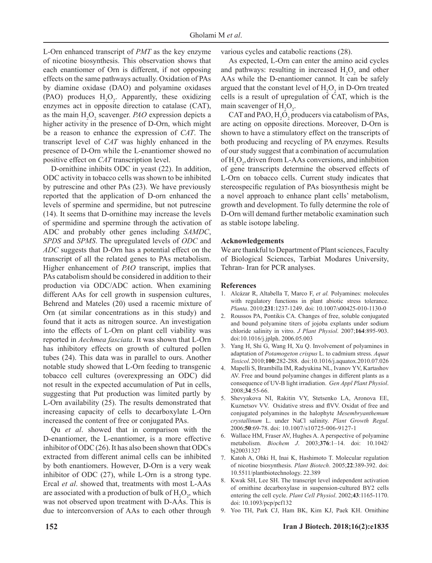L-Orn enhanced transcript of *PMT* as the key enzyme of nicotine biosynthesis. This observation shows that each enantiomer of Orn is different, if not opposing effects on the same pathways actually. Oxidation of PAs by diamine oxidase (DAO) and polyamine oxidases (PAO) produces  $H_2O_2$ . Apparently, these oxidizing enzymes act in opposite direction to catalase (CAT), as the main  $H_2O_2$  scavenger. *PAO* expression depicts a higher activity in the presence of D-Orn, which might be a reason to enhance the expression of *CAT*. The transcript level of *CAT* was highly enhanced in the presence of D-Orn while the L-enantiomer showed no positive effect on *CAT* transcription level.

D-ornithine inhibits ODC in yeast (22). In addition, ODC activity in tobacco cells was shown to be inhibited by putrescine and other PAs (23). We have previously reported that the application of D-orn enhanced the levels of spermine and spermidine, but not putrescine (14). It seems that D-ornithine may increase the levels of spermidine and spermine through the activation of ADC and probably other genes including *SAMDC*, *SPDS* and *SPMS*. The upregulated levels of *ODC* and *ADC* suggests that D-Orn has a potential effect on the transcript of all the related genes to PAs metabolism. Higher enhancement of *PAO* transcript, implies that PAs catabolism should be considered in addition to their production via ODC/ADC action. When examining different AAs for cell growth in suspension cultures, Behrend and Mateles (20) used a racemic mixture of Orn (at similar concentrations as in this study) and found that it acts as nitrogen source. An investigation into the effects of L-Orn on plant cell viability was reported in *Aechmea fasciata*. It was shown that L-Orn has inhibitory effects on growth of cultured pollen tubes (24). This data was in parallel to ours. Another notable study showed that L-Orn feeding to transgenic tobacco cell cultures (overexpressing an ODC) did not result in the expected accumulation of Put in cells, suggesting that Put production was limited partly by L-Orn availability (25). The results demonstrated that increasing capacity of cells to decarboxylate L-Orn increased the content of free or conjugated PAs.

Qu *et al*. showed that in comparison with the D-enantiomer, the L-enantiomer, is a more effective inhibitor of ODC (26). It has also been shown that ODCs extracted from different animal cells can be inhibited by both enantiomers. However, D-Orn is a very weak inhibitor of ODC (27), while L-Orn is a strong type. Ercal *et al*. showed that, treatments with most L-AAs are associated with a production of bulk of  $H_2O_2$ , which was not observed upon treatment with D-AAs. This is due to interconversion of AAs to each other through

various cycles and catabolic reactions (28).

As expected, L-Orn can enter the amino acid cycles and pathways: resulting in increased  $H_2O_2$  and other AAs while the D-enantiomer cannot. It can be safely argued that the constant level of  $H_2O_2$  in D-Orn treated cells is a result of upregulation of CAT, which is the main scavenger of  $H_2O_2$ .

CAT and PAO,  $H_2O_2$  producers via catabolism of PAs, are acting on opposite directions. Moreover, D-Orn is shown to have a stimulatory effect on the transcripts of both producing and recycling of PA enzymes. Results of our study suggest that a combination of accumulation of  $H_2O_2$ , driven from L-AAs conversions, and inhibition of gene transcripts determine the observed effects of L-Orn on tobacco cells. Current study indicates that stereospecific regulation of PAs biosynthesis might be a novel approach to enhance plant cells' metabolism, growth and development. To fully determine the role of D-Orn will demand further metabolic examination such as stable isotope labeling.

#### **Acknowledgements**

We are thankful to Department of Plant sciences, Faculty of Biological Sciences, Tarbiat Modares University, Tehran- Iran for PCR analyses.

#### **References**

- 1. Alcázar R, Altabella T, Marco F, *et al.* Polyamines: molecules with regulatory functions in plant abiotic stress tolerance. *Planta*. 2010;**231**:1237-1249. doi: 10.1007/s00425-010-1130-0
- 2. Roussos PA, Pontikis CA. Changes of free, soluble conjugated and bound polyamine titers of jojoba explants under sodium chloride salinity in vitro. *J Plant Physiol*. 2007;**164**:895-903. doi:10.1016/j.jplph. 2006.05.003
- 3. Yang H, Shi G, Wang H, Xu Q. Involvement of polyamines in adaptation of *Potamogeton crispus* L. to cadmium stress. *Aquat Toxicol*. 2010;**100**:282-288. doi:10.1016/j.aquatox.2010.07.026
- 4. Mapelli S, Brambilla IM, Radyukina NL, Ivanov YV, Kartashov AV. Free and bound polyamine changes in different plants as a consequence of UV-B light irradiation. *Gen Appl Plant Physiol*. 2008;**34**:55-66.
- 5. Shevyakova NI, Rakitin VY, Stetsenko LA, Aronova EE, Kuznetsov VV. Oxidative stress and flVV. Oxidat of free and conjugated polyamines in the halophyte *Mesembryanthemum crystallinum* L. under NaCl salinity. *Plant Growth Regul*. 2006;**50**:69-78. doi: 10.1007/s10725-006-9127-1
- 6. Wallace HM, Fraser AV, Hughes A. A perspective of polyamine metabolism. *Biochem J*. 2003;**376**:1–14. doi: 10.1042/ bj20031327
- 7. Katoh A, Ohki H, Inai K, Hashimoto T. Molecular regulation of nicotine biosynthesis. *Plant Biotech*. 2005;**22**:389-392. doi: 10.5511/plantbiotechnology. 22.389
- 8. Kwak SH, Lee SH. The transcript level independent activation of ornithine decarboxylase in suspension-cultured BY2 cells entering the cell cycle. *Plant Cell Physiol*. 2002;**43**:1165-1170. doi: 10.1093/pcp/pcf132
- 9. Yoo TH, Park CJ, Ham BK, Kim KJ, Paek KH. Ornithine